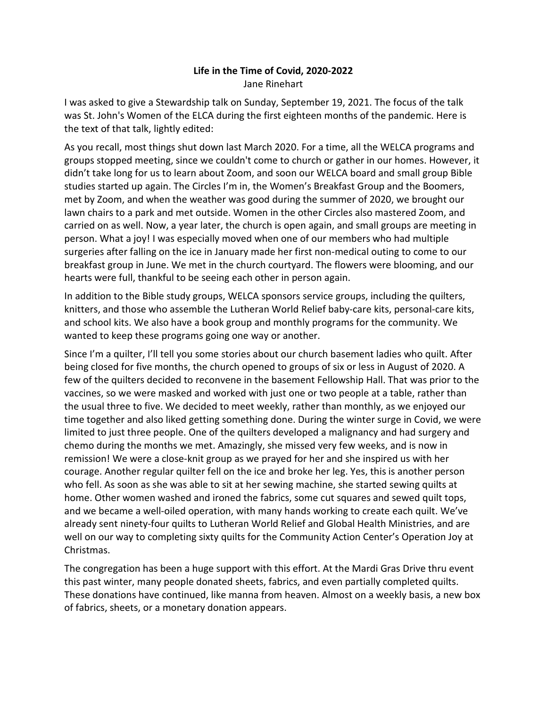## **Life in the Time of Covid, 2020-2022** Jane Rinehart

I was asked to give a Stewardship talk on Sunday, September 19, 2021. The focus of the talk was St. John's Women of the ELCA during the first eighteen months of the pandemic. Here is the text of that talk, lightly edited:

As you recall, most things shut down last March 2020. For a time, all the WELCA programs and groups stopped meeting, since we couldn't come to church or gather in our homes. However, it didn't take long for us to learn about Zoom, and soon our WELCA board and small group Bible studies started up again. The Circles I'm in, the Women's Breakfast Group and the Boomers, met by Zoom, and when the weather was good during the summer of 2020, we brought our lawn chairs to a park and met outside. Women in the other Circles also mastered Zoom, and carried on as well. Now, a year later, the church is open again, and small groups are meeting in person. What a joy! I was especially moved when one of our members who had multiple surgeries after falling on the ice in January made her first non-medical outing to come to our breakfast group in June. We met in the church courtyard. The flowers were blooming, and our hearts were full, thankful to be seeing each other in person again.

In addition to the Bible study groups, WELCA sponsors service groups, including the quilters, knitters, and those who assemble the Lutheran World Relief baby-care kits, personal-care kits, and school kits. We also have a book group and monthly programs for the community. We wanted to keep these programs going one way or another.

Since I'm a quilter, I'll tell you some stories about our church basement ladies who quilt. After being closed for five months, the church opened to groups of six or less in August of 2020. A few of the quilters decided to reconvene in the basement Fellowship Hall. That was prior to the vaccines, so we were masked and worked with just one or two people at a table, rather than the usual three to five. We decided to meet weekly, rather than monthly, as we enjoyed our time together and also liked getting something done. During the winter surge in Covid, we were limited to just three people. One of the quilters developed a malignancy and had surgery and chemo during the months we met. Amazingly, she missed very few weeks, and is now in remission! We were a close-knit group as we prayed for her and she inspired us with her courage. Another regular quilter fell on the ice and broke her leg. Yes, this is another person who fell. As soon as she was able to sit at her sewing machine, she started sewing quilts at home. Other women washed and ironed the fabrics, some cut squares and sewed quilt tops, and we became a well-oiled operation, with many hands working to create each quilt. We've already sent ninety-four quilts to Lutheran World Relief and Global Health Ministries, and are well on our way to completing sixty quilts for the Community Action Center's Operation Joy at Christmas.

The congregation has been a huge support with this effort. At the Mardi Gras Drive thru event this past winter, many people donated sheets, fabrics, and even partially completed quilts. These donations have continued, like manna from heaven. Almost on a weekly basis, a new box of fabrics, sheets, or a monetary donation appears.